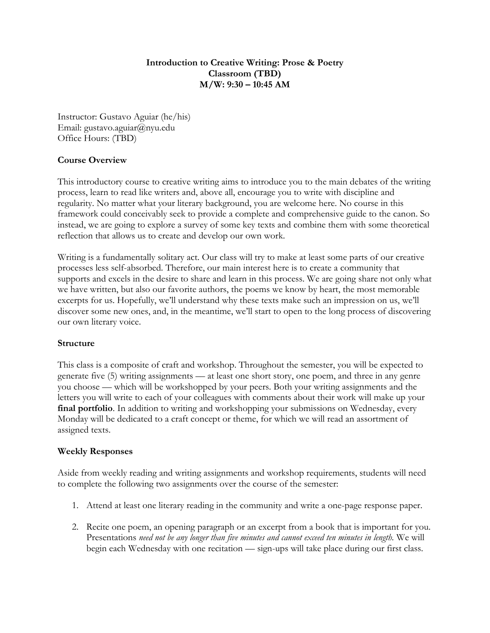# **Introduction to Creative Writing: Prose & Poetry Classroom (TBD) M/W: 9:30 – 10:45 AM**

Instructor: Gustavo Aguiar (he/his) Email: gustavo.aguiar@nyu.edu Office Hours: (TBD)

# **Course Overview**

This introductory course to creative writing aims to introduce you to the main debates of the writing process, learn to read like writers and, above all, encourage you to write with discipline and regularity. No matter what your literary background, you are welcome here. No course in this framework could conceivably seek to provide a complete and comprehensive guide to the canon. So instead, we are going to explore a survey of some key texts and combine them with some theoretical reflection that allows us to create and develop our own work.

Writing is a fundamentally solitary act. Our class will try to make at least some parts of our creative processes less self-absorbed. Therefore, our main interest here is to create a community that supports and excels in the desire to share and learn in this process. We are going share not only what we have written, but also our favorite authors, the poems we know by heart, the most memorable excerpts for us. Hopefully, we'll understand why these texts make such an impression on us, we'll discover some new ones, and, in the meantime, we'll start to open to the long process of discovering our own literary voice.

# **Structure**

This class is a composite of craft and workshop. Throughout the semester, you will be expected to generate five (5) writing assignments –– at least one short story, one poem, and three in any genre you choose –– which will be workshopped by your peers. Both your writing assignments and the letters you will write to each of your colleagues with comments about their work will make up your final portfolio. In addition to writing and workshopping your submissions on Wednesday, every Monday will be dedicated to a craft concept or theme, for which we will read an assortment of assigned texts.

# **Weekly Responses**

Aside from weekly reading and writing assignments and workshop requirements, students will need to complete the following two assignments over the course of the semester:

- 1. Attend at least one literary reading in the community and write a one-page response paper.
- 2. Recite one poem, an opening paragraph or an excerpt from a book that is important for you. Presentations *need not be any longer than five minutes and cannot exceed ten minutes in length.* We will begin each Wednesday with one recitation — sign-ups will take place during our first class.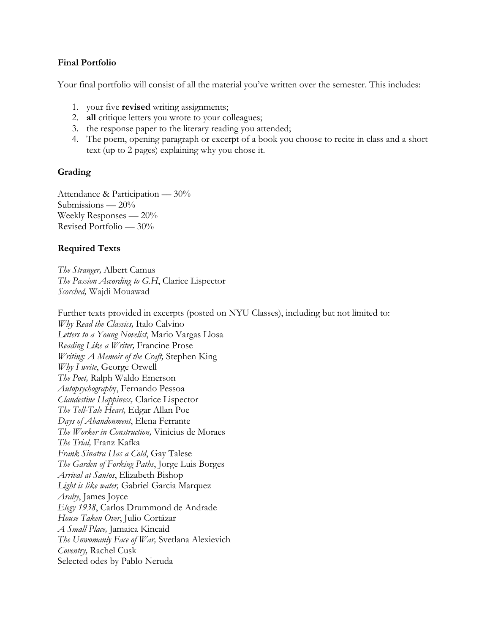# **Final Portfolio**

Your final portfolio will consist of all the material you've written over the semester. This includes:

- 1. your five **revised** writing assignments;
- 2. **all** critique letters you wrote to your colleagues;
- 3. the response paper to the literary reading you attended;
- 4. The poem, opening paragraph or excerpt of a book you choose to recite in class and a short text (up to 2 pages) explaining why you chose it.

# **Grading**

Attendance & Participation — 30% Submissions  $-20%$ Weekly Responses —  $20\%$ Revised Portfolio –– 30%

# **Required Texts**

*The Stranger,* Albert Camus *The Passion According to G.H*, Clarice Lispector *Scorched,* Wajdi Mouawad

Further texts provided in excerpts (posted on NYU Classes), including but not limited to: *Why Read the Classics,* Italo Calvino *Letters to a Young Novelist*, Mario Vargas Llosa *Reading Like a Writer,* Francine Prose *Writing: A Memoir of the Craft,* Stephen King *Why I write*, George Orwell *The Poet,* Ralph Waldo Emerson *Autopsychograph*y, Fernando Pessoa *Clandestine Happiness,* Clarice Lispector *The Tell-Tale Heart,* Edgar Allan Poe *Days of Abandonment*, Elena Ferrante *The Worker in Construction,* Vinicius de Moraes *The Trial,* Franz Kafka *Frank Sinatra Has a Cold*, Gay Talese *The Garden of Forking Paths*, Jorge Luis Borges *Arrival at Santos*, Elizabeth Bishop *Light is like water,* Gabriel Garcia Marquez *Araby*, James Joyce *Elegy 1938*, Carlos Drummond de Andrade *House Taken Over*, Julio Cortázar *A Small Place,* Jamaica Kincaid *The Unwomanly Face of War,* Svetlana Alexievich *Coventry,* Rachel Cusk Selected odes by Pablo Neruda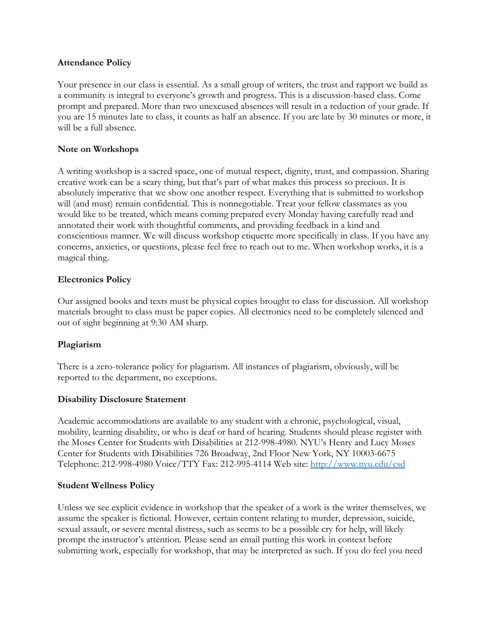## **Attendance Policy**

Your presence in our class is essential. As a small group of writers, the trust and rapport we build as a community is integral to everyone's growth and progress. This is a discussion-based class. Come prompt and prepared. More than two unexcused absences will result in a reduction of your grade. If you are 15 minutes late to class, it counts as half an absence. If you are late by 30 minutes or more, it will be a full absence.

## **Note on Workshops**

A writing workshop is a sacred space, one of mutual respect, dignity, trust, and compassion. Sharing creative work can be a scary thing, but that's part of what makes this process so precious. It is absolutely imperative that we show one another respect. Everything that is submitted to workshop will (and must) remain confidential. This is nonnegotiable. Treat your fellow classmates as you would like to be treated, which means coming prepared every Monday having carefully read and annotated their work with thoughtful comments, and providing feedback in a kind and conscientious manner. We will discuss workshop etiquette more specifically in class. If you have any concerns, anxieties, or questions, please feel free to reach out to me. When workshop works, it is a magical thing.

## **Electronics Policy**

Our assigned books and texts must be physical copies brought to class for discussion. All workshop materials brought to class must be paper copies. All electronics need to be completely silenced and out of sight beginning at 9:30 AM sharp.

#### **Plagiarism**

There is a zero-tolerance policy for plagiarism. All instances of plagiarism, obviously, will be reported to the department, no exceptions.

#### **Disability Disclosure Statement**

Academic accommodations are available to any student with a chronic, psychological, visual, mobility, learning disability, or who is deaf or hard of hearing. Students should please register with the Moses Center for Students with Disabilities at 212-998-4980. NYU's Henry and Lucy Moses Center for Students with Disabilities 726 Broadway, 2nd Floor New York, NY 10003-6675 Telephone: 212-998-4980 Voice/TTY Fax: 212-995-4114 Web site:<http://www.nyu.edu/csd>

#### **Student Wellness Policy**

Unless we see explicit evidence in workshop that the speaker of a work is the writer themselves, we assume the speaker is fictional. However, certain content relating to murder, depression, suicide, sexual assault, or severe mental distress, such as seems to be a possible cry for help, will likely prompt the instructor's attention. Please send an email putting this work in context before submitting work, especially for workshop, that may be interpreted as such. If you do feel you need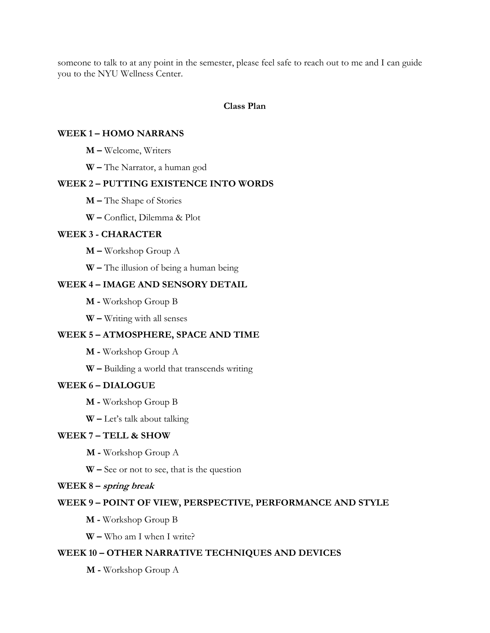someone to talk to at any point in the semester, please feel safe to reach out to me and I can guide you to the NYU Wellness Center.

#### **Class Plan**

#### **WEEK 1 – HOMO NARRANS**

**M –** Welcome, Writers

**W –** The Narrator, a human god

#### **WEEK 2 – PUTTING EXISTENCE INTO WORDS**

**M –** The Shape of Stories

**W –** Conflict, Dilemma & Plot

#### **WEEK 3 - CHARACTER**

**M –** Workshop Group A

**W –** The illusion of being a human being

#### **WEEK 4 – IMAGE AND SENSORY DETAIL**

**M -** Workshop Group B

**W –** Writing with all senses

# **WEEK 5 – ATMOSPHERE, SPACE AND TIME**

**M -** Workshop Group A

**W –** Building a world that transcends writing

#### **WEEK 6 – DIALOGUE**

**M -** Workshop Group B

**W –** Let's talk about talking

## **WEEK 7 – TELL & SHOW**

**M -** Workshop Group A

**W –** See or not to see, that is the question

#### **WEEK 8 – spring break**

#### **WEEK 9 – POINT OF VIEW, PERSPECTIVE, PERFORMANCE AND STYLE**

**M -** Workshop Group B

**W –** Who am I when I write?

#### **WEEK 10 – OTHER NARRATIVE TECHNIQUES AND DEVICES**

**M -** Workshop Group A